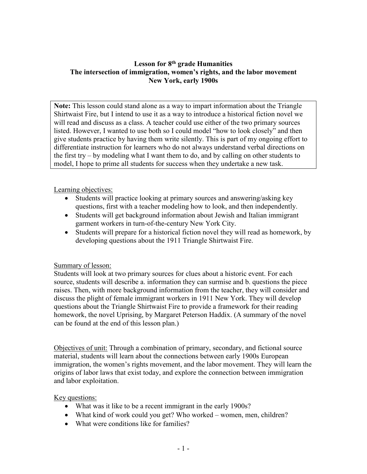### **Lesson for 8th grade Humanities The intersection of immigration, women's rights, and the labor movement New York, early 1900s**

**Note:** This lesson could stand alone as a way to impart information about the Triangle Shirtwaist Fire, but I intend to use it as a way to introduce a historical fiction novel we will read and discuss as a class. A teacher could use either of the two primary sources listed. However, I wanted to use both so I could model "how to look closely" and then give students practice by having them write silently. This is part of my ongoing effort to differentiate instruction for learners who do not always understand verbal directions on the first try – by modeling what I want them to do, and by calling on other students to model, I hope to prime all students for success when they undertake a new task.

Learning objectives:

- Students will practice looking at primary sources and answering/asking key questions, first with a teacher modeling how to look, and then independently.
- Students will get background information about Jewish and Italian immigrant garment workers in turn-of-the-century New York City.
- Students will prepare for a historical fiction novel they will read as homework, by developing questions about the 1911 Triangle Shirtwaist Fire.

#### Summary of lesson:

Students will look at two primary sources for clues about a historic event. For each source, students will describe a. information they can surmise and b. questions the piece raises. Then, with more background information from the teacher, they will consider and discuss the plight of female immigrant workers in 1911 New York. They will develop questions about the Triangle Shirtwaist Fire to provide a framework for their reading homework, the novel Uprising, by Margaret Peterson Haddix. (A summary of the novel can be found at the end of this lesson plan.)

Objectives of unit: Through a combination of primary, secondary, and fictional source material, students will learn about the connections between early 1900s European immigration, the women's rights movement, and the labor movement. They will learn the origins of labor laws that exist today, and explore the connection between immigration and labor exploitation.

Key questions:

- What was it like to be a recent immigrant in the early 1900s?
- What kind of work could you get? Who worked women, men, children?
- What were conditions like for families?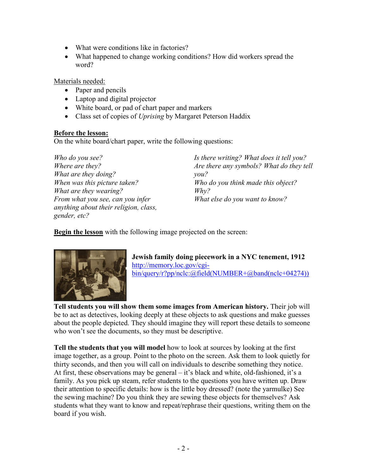- What were conditions like in factories?
- What happened to change working conditions? How did workers spread the word?

Materials needed:

- Paper and pencils
- Laptop and digital projector
- White board, or pad of chart paper and markers
- Class set of copies of *Uprising* by Margaret Peterson Haddix

#### **Before the lesson:**

On the white board/chart paper, write the following questions:

*Who do you see? Where are they? What are they doing? When was this picture taken? What are they wearing? From what you see, can you infer anything about their religion, class, gender, etc?*

*Is there writing? What does it tell you? Are there any symbols? What do they tell you? Who do you think made this object? Why? What else do you want to know?* 

**Begin the lesson** with the following image projected on the screen:



**Jewish family doing piecework in a NYC tenement, 1912** [http://memory.loc.gov/cgi](http://memory.loc.gov/cgi-bin/query/r?pp/nclc:@field(NUMBER+@band(nclc+04274)))[bin/query/r?pp/nclc:@field\(NUMBER+@band\(nclc+04274\)\)](http://memory.loc.gov/cgi-bin/query/r?pp/nclc:@field(NUMBER+@band(nclc+04274)))

**Tell students you will show them some images from American history.** Their job will be to act as detectives, looking deeply at these objects to ask questions and make guesses about the people depicted. They should imagine they will report these details to someone who won't see the documents, so they must be descriptive.

**Tell the students that you will model** how to look at sources by looking at the first image together, as a group. Point to the photo on the screen. Ask them to look quietly for thirty seconds, and then you will call on individuals to describe something they notice. At first, these observations may be general – it's black and white, old-fashioned, it's a family. As you pick up steam, refer students to the questions you have written up. Draw their attention to specific details: how is the little boy dressed? (note the yarmulke) See the sewing machine? Do you think they are sewing these objects for themselves? Ask students what they want to know and repeat/rephrase their questions, writing them on the board if you wish.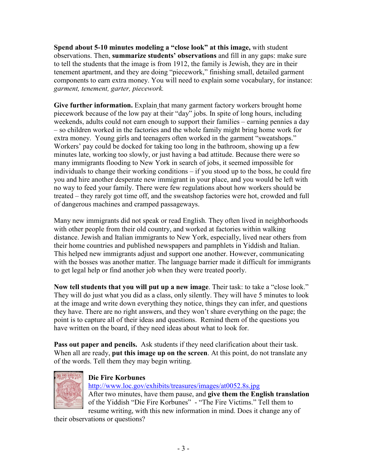**Spend about 5-10 minutes modeling a "close look" at this image,** with student observations. Then, **summarize students' observations** and fill in any gaps: make sure to tell the students that the image is from 1912, the family is Jewish, they are in their tenement apartment, and they are doing "piecework," finishing small, detailed garment components to earn extra money. You will need to explain some vocabulary, for instance: *garment, tenement, garter, piecework.*

**Give further information.** Explain that many garment factory workers brought home piecework because of the low pay at their "day" jobs. In spite of long hours, including weekends, adults could not earn enough to support their families – earning pennies a day – so children worked in the factories and the whole family might bring home work for extra money. Young girls and teenagers often worked in the garment "sweatshops." Workers' pay could be docked for taking too long in the bathroom, showing up a few minutes late, working too slowly, or just having a bad attitude. Because there were so many immigrants flooding to New York in search of jobs, it seemed impossible for individuals to change their working conditions – if you stood up to the boss, he could fire you and hire another desperate new immigrant in your place, and you would be left with no way to feed your family. There were few regulations about how workers should be treated – they rarely got time off, and the sweatshop factories were hot, crowded and full of dangerous machines and cramped passageways.

Many new immigrants did not speak or read English. They often lived in neighborhoods with other people from their old country, and worked at factories within walking distance. Jewish and Italian immigrants to New York, especially, lived near others from their home countries and published newspapers and pamphlets in Yiddish and Italian. This helped new immigrants adjust and support one another. However, communicating with the bosses was another matter. The language barrier made it difficult for immigrants to get legal help or find another job when they were treated poorly.

**Now tell students that you will put up a new image**. Their task: to take a "close look." They will do just what you did as a class, only silently. They will have 5 minutes to look at the image and write down everything they notice, things they can infer, and questions they have. There are no right answers, and they won't share everything on the page; the point is to capture all of their ideas and questions. Remind them of the questions you have written on the board, if they need ideas about what to look for.

**Pass out paper and pencils.** Ask students if they need clarification about their task. When all are ready, **put this image up on the screen**. At this point, do not translate any of the words. Tell them they may begin writing.



# **Die Fire Korbunes**

<http://www.loc.gov/exhibits/treasures/images/at0052.8s.jpg> After two minutes, have them pause, and **give them the English translation** of the Yiddish "Die Fire Korbunes" - "The Fire Victims." Tell them to resume writing, with this new information in mind. Does it change any of

their observations or questions?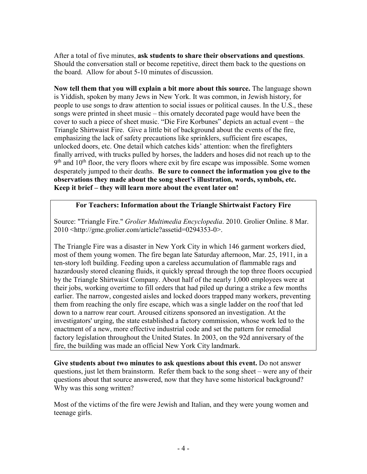After a total of five minutes, **ask students to share their observations and questions**. Should the conversation stall or become repetitive, direct them back to the questions on the board. Allow for about 5-10 minutes of discussion.

**Now tell them that you will explain a bit more about this source.** The language shown is Yiddish, spoken by many Jews in New York. It was common, in Jewish history, for people to use songs to draw attention to social issues or political causes. In the U.S., these songs were printed in sheet music – this ornately decorated page would have been the cover to such a piece of sheet music. "Die Fire Korbunes" depicts an actual event – the Triangle Shirtwaist Fire. Give a little bit of background about the events of the fire, emphasizing the lack of safety precautions like sprinklers, sufficient fire escapes, unlocked doors, etc. One detail which catches kids' attention: when the firefighters finally arrived, with trucks pulled by horses, the ladders and hoses did not reach up to the  $9<sup>th</sup>$  and  $10<sup>th</sup>$  floor, the very floors where exit by fire escape was impossible. Some women desperately jumped to their deaths. **Be sure to connect the information you give to the observations they made about the song sheet's illustration, words, symbols, etc. Keep it brief – they will learn more about the event later on!**

## **For Teachers: Information about the Triangle Shirtwaist Factory Fire**

Source: "Triangle Fire." *Grolier Multimedia Encyclopedia*. 2010. Grolier Online. 8 Mar. 2010 <http://gme.grolier.com/article?assetid=0294353-0>.

The Triangle Fire was a disaster in [New York](http://gme.grolier.com/article?assetid=0207200-0) City in which 146 garment workers died, most of them young women. The fire began late Saturday afternoon, Mar. 25, 1911, in a ten-story loft building. Feeding upon a careless accumulation of flammable rags and hazardously stored cleaning fluids, it quickly spread through the top three floors occupied by the Triangle Shirtwaist Company. About half of the nearly 1,000 employees were at their jobs, working overtime to fill orders that had piled up during a strike a few months earlier. The narrow, congested aisles and locked doors trapped many workers, preventing them from reaching the only fire escape, which was a single ladder on the roof that led down to a narrow rear court. Aroused citizens sponsored an investigation. At the investigators' urging, the state established a factory commission, whose work led to the enactment of a new, more effective industrial code and set the pattern for remedial factory legislation throughout the United States. In 2003, on the 92d anniversary of the fire, the building was made an official New York City landmark.

**Give students about two minutes to ask questions about this event.** Do not answer questions, just let them brainstorm. Refer them back to the song sheet – were any of their questions about that source answered, now that they have some historical background? Why was this song written?

Most of the victims of the fire were Jewish and Italian, and they were young women and teenage girls.